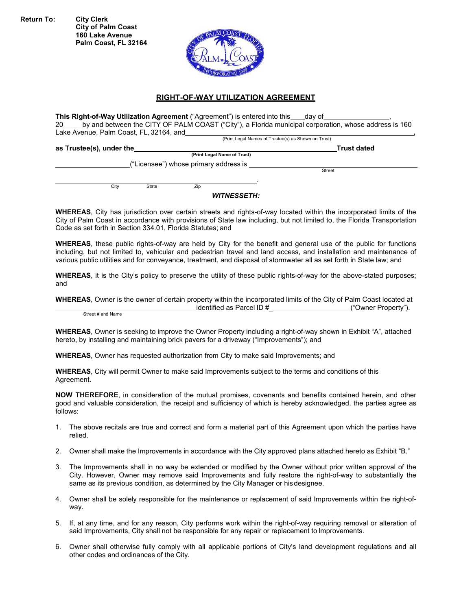**Return To: City Clerk**

**City of Palm Coast 160 Lake Avenue Palm Coast, FL 32164**



#### **RIGHT-OF-WAY UTILIZATION AGREEMENT**

**This Right-of-Way Utilization Agreement** ("Agreement") is entered into this \_\_\_day of 20 by and between the CITY OF PALM COAST ("City"), a Florida municipal corporation, whose address is 160 Lake Avenue, Palm Coast, FL, 32164, and

(Print Legal Names of Trustee(s) as Shown on Trust)

**as Trustee(s), under the Trust dated**

**(Print Legal Name of Trust)**

("Licensee") whose primary address is Street

**City** State **Zip** 

#### *WITNESSETH:*

**WHEREAS**, City has jurisdiction over certain streets and rights-of-way located within the incorporated limits of the City of Palm Coast in accordance with provisions of State law including, but not limited to, the Florida Transportation Code as set forth in Section 334.01, Florida Statutes; and

**WHEREAS**, these public rights-of-way are held by City for the benefit and general use of the public for functions including, but not limited to, vehicular and pedestrian travel and land access, and installation and maintenance of various public utilities and for conveyance, treatment, and disposal of stormwater all as set forth in State law; and

**WHEREAS**, it is the City's policy to preserve the utility of these public rights-of-way for the above-stated purposes; and

**WHEREAS**, Owner is the owner of certain property within the incorporated limits of the City of Palm Coast located at identified as Parcel ID #\_ ("Owner Property"). Street # and Name

**WHEREAS**, Owner is seeking to improve the Owner Property including a right-of-way shown in Exhibit "A", attached hereto, by installing and maintaining brick pavers for a driveway ("Improvements"); and

**WHEREAS**, Owner has requested authorization from City to make said Improvements; and

**WHEREAS**, City will permit Owner to make said Improvements subject to the terms and conditions of this Agreement.

**NOW THEREFORE**, in consideration of the mutual promises, covenants and benefits contained herein, and other good and valuable consideration, the receipt and sufficiency of which is hereby acknowledged, the parties agree as follows:

- 1. The above recitals are true and correct and form a material part of this Agreement upon which the parties have relied.
- 2. Owner shall make the Improvements in accordance with the City approved plans attached hereto as Exhibit "B."
- 3. The Improvements shall in no way be extended or modified by the Owner without prior written approval of the City. However, Owner may remove said Improvements and fully restore the right-of-way to substantially the same as its previous condition, as determined by the City Manager or his designee.
- 4. Owner shall be solely responsible for the maintenance or replacement of said Improvements within the right-ofway.
- 5. If, at any time, and for any reason, City performs work within the right-of-way requiring removal or alteration of said Improvements, City shall not be responsible for any repair or replacement to Improvements.
- 6. Owner shall otherwise fully comply with all applicable portions of City's land development regulations and all other codes and ordinances of the City.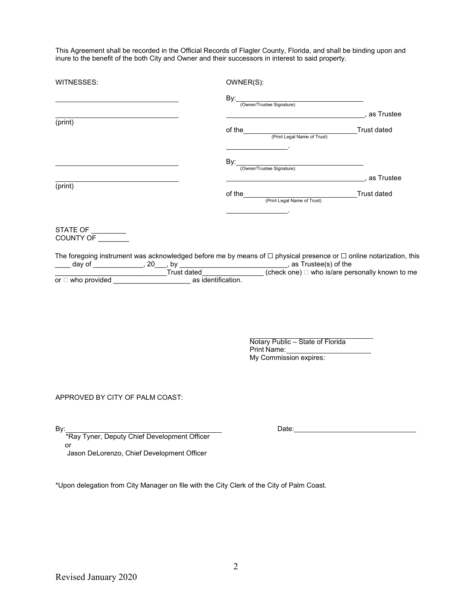This Agreement shall be recorded in the Official Records of Flagler County, Florida, and shall be binding upon and inure to the benefit of the both City and Owner and their successors in interest to said property.

| WITNESSES:                                                                                                                   | OWNER(S):                                                                 |  |
|------------------------------------------------------------------------------------------------------------------------------|---------------------------------------------------------------------------|--|
|                                                                                                                              |                                                                           |  |
| (print)                                                                                                                      |                                                                           |  |
|                                                                                                                              |                                                                           |  |
|                                                                                                                              |                                                                           |  |
|                                                                                                                              |                                                                           |  |
| (print)                                                                                                                      |                                                                           |  |
| STATE OF _________<br>COUNTY OF ________                                                                                     |                                                                           |  |
| The foregoing instrument was acknowledged before me by means of $\Box$ physical presence or $\Box$ online notarization, this |                                                                           |  |
|                                                                                                                              | Notary Public - State of Florida<br>Print Name:<br>My Commission expires: |  |
| APPROVED BY CITY OF PALM COAST:                                                                                              |                                                                           |  |
| By:<br>*Ray Tyner, Deputy Chief Development Officer                                                                          | Date:                                                                     |  |
| or                                                                                                                           |                                                                           |  |
| Jason DeLorenzo, Chief Development Officer                                                                                   |                                                                           |  |
| *Upon delegation from City Manager on file with the City Clerk of the City of Palm Coast.                                    |                                                                           |  |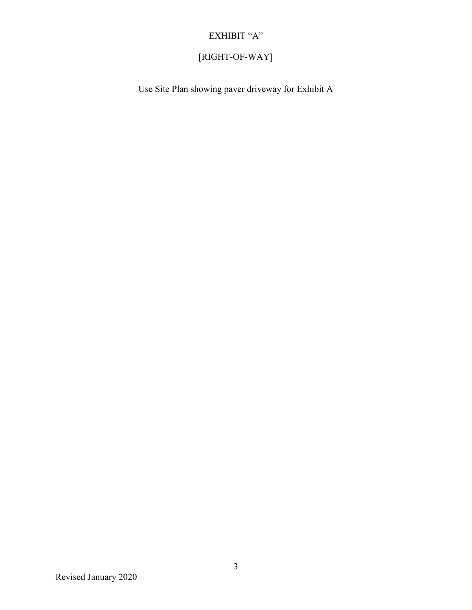## EXHIBIT "A"  $\,$

# [RIGHT-OF-WAY]

Use Site Plan showing paver driveway for Exhibit A